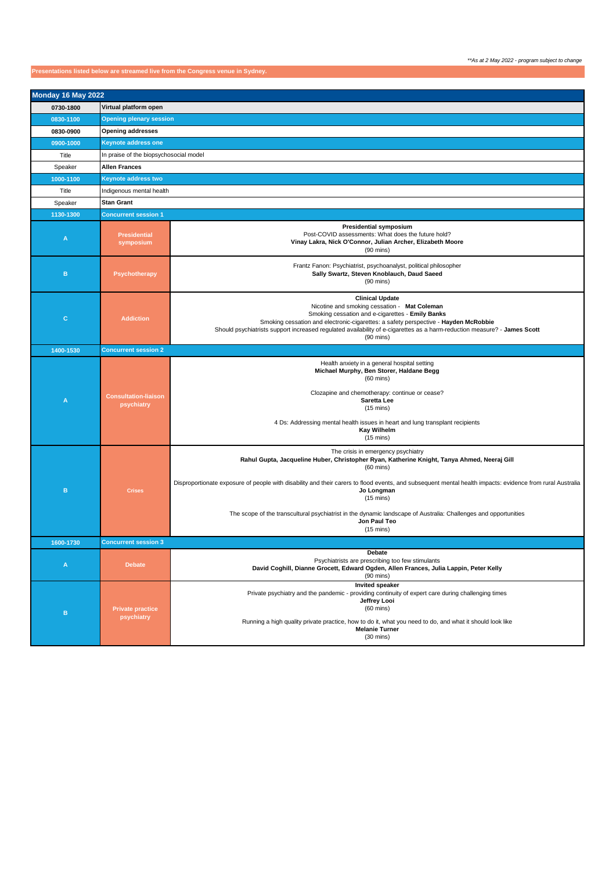## **Presentations listed below are streamed live from the Congress venue in Sydney.**

| Monday 16 May 2022 |                                           |                                                                                                                                                                                                                                                                                                                                                                                                                                                                                                                      |
|--------------------|-------------------------------------------|----------------------------------------------------------------------------------------------------------------------------------------------------------------------------------------------------------------------------------------------------------------------------------------------------------------------------------------------------------------------------------------------------------------------------------------------------------------------------------------------------------------------|
| 0730-1800          | Virtual platform open                     |                                                                                                                                                                                                                                                                                                                                                                                                                                                                                                                      |
| 0830-1100          | <b>Opening plenary session</b>            |                                                                                                                                                                                                                                                                                                                                                                                                                                                                                                                      |
| 0830-0900          | <b>Opening addresses</b>                  |                                                                                                                                                                                                                                                                                                                                                                                                                                                                                                                      |
| 0900-1000          | <b>Keynote address one</b>                |                                                                                                                                                                                                                                                                                                                                                                                                                                                                                                                      |
| Title              | In praise of the biopsychosocial model    |                                                                                                                                                                                                                                                                                                                                                                                                                                                                                                                      |
| Speaker            | <b>Allen Frances</b>                      |                                                                                                                                                                                                                                                                                                                                                                                                                                                                                                                      |
| 1000-1100          | <b>Keynote address two</b>                |                                                                                                                                                                                                                                                                                                                                                                                                                                                                                                                      |
| Title              | Indigenous mental health                  |                                                                                                                                                                                                                                                                                                                                                                                                                                                                                                                      |
| Speaker            | <b>Stan Grant</b>                         |                                                                                                                                                                                                                                                                                                                                                                                                                                                                                                                      |
| 1130-1300          | <b>Concurrent session 1</b>               |                                                                                                                                                                                                                                                                                                                                                                                                                                                                                                                      |
| A                  | <b>Presidential</b><br>symposium          | <b>Presidential symposium</b><br>Post-COVID assessments: What does the future hold?<br>Vinay Lakra, Nick O'Connor, Julian Archer, Elizabeth Moore<br>$(90 \text{ mins})$                                                                                                                                                                                                                                                                                                                                             |
| $\mathbf B$        | <b>Psychotherapy</b>                      | Frantz Fanon: Psychiatrist, psychoanalyst, political philosopher<br>Sally Swartz, Steven Knoblauch, Daud Saeed<br>$(90 \text{ mins})$                                                                                                                                                                                                                                                                                                                                                                                |
| $\mathbf C$        | <b>Addiction</b>                          | <b>Clinical Update</b><br>Nicotine and smoking cessation - Mat Coleman<br>Smoking cessation and e-cigarettes - Emily Banks<br>Smoking cessation and electronic-cigarettes: a safety perspective - Hayden McRobbie<br>Should psychiatrists support increased regulated availability of e-cigarettes as a harm-reduction measure? - James Scott<br>$(90$ mins)                                                                                                                                                         |
| 1400-1530          | <b>Concurrent session 2</b>               |                                                                                                                                                                                                                                                                                                                                                                                                                                                                                                                      |
| $\overline{A}$     | <b>Consultation-liaison</b><br>psychiatry | Health anxiety in a general hospital setting<br>Michael Murphy, Ben Storer, Haldane Begg<br>$(60 \text{ mins})$<br>Clozapine and chemotherapy: continue or cease?<br>Saretta Lee<br>$(15 \text{ mins})$<br>4 Ds: Addressing mental health issues in heart and lung transplant recipients<br><b>Kay Wilhelm</b><br>$(15 \text{ mins})$                                                                                                                                                                                |
| B                  | <b>Crises</b>                             | The crisis in emergency psychiatry<br>Rahul Gupta, Jacqueline Huber, Christopher Ryan, Katherine Knight, Tanya Ahmed, Neeraj Gill<br>$(60 \text{ mins})$<br>Disproportionate exposure of people with disability and their carers to flood events, and subsequent mental health impacts: evidence from rural Australia<br>Jo Longman<br>$(15 \text{ mins})$<br>The scope of the transcultural psychiatrist in the dynamic landscape of Australia: Challenges and opportunities<br>Jon Paul Teo<br>$(15 \text{ mins})$ |
| 1600-1730          | <b>Concurrent session 3</b>               |                                                                                                                                                                                                                                                                                                                                                                                                                                                                                                                      |
| A                  | <b>Debate</b>                             | Debate<br>Psychiatrists are prescribing too few stimulants<br>David Coghill, Dianne Grocett, Edward Ogden, Allen Frances, Julia Lappin, Peter Kelly<br>$(90$ mins)                                                                                                                                                                                                                                                                                                                                                   |
| в                  | <b>Private practice</b><br>psychiatry     | Invited speaker<br>Private psychiatry and the pandemic - providing continuity of expert care during challenging times<br>Jeffrey Looi<br>$(60 \text{ mins})$<br>Running a high quality private practice, how to do it, what you need to do, and what it should look like<br><b>Melanie Turner</b><br>$(30 \text{ mins})$                                                                                                                                                                                             |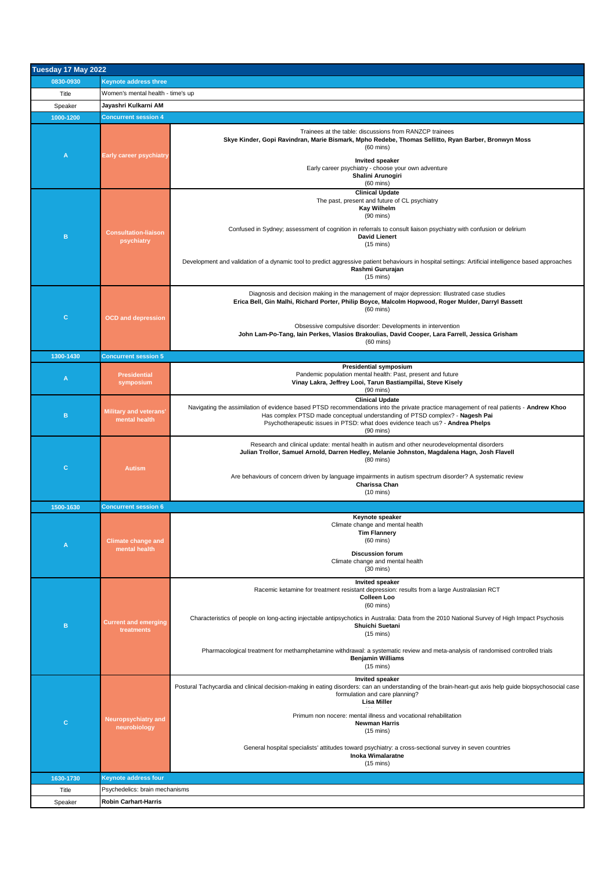| Tuesday 17 May 2022 |                                                |                                                                                                                                                                                                                                                                                                                                                   |
|---------------------|------------------------------------------------|---------------------------------------------------------------------------------------------------------------------------------------------------------------------------------------------------------------------------------------------------------------------------------------------------------------------------------------------------|
| 0830-0930           | <b>Keynote address three</b>                   |                                                                                                                                                                                                                                                                                                                                                   |
| Title               | Women's mental health - time's up              |                                                                                                                                                                                                                                                                                                                                                   |
| Speaker             | Jayashri Kulkarni AM                           |                                                                                                                                                                                                                                                                                                                                                   |
| 1000-1200           | <b>Concurrent session 4</b>                    |                                                                                                                                                                                                                                                                                                                                                   |
| A                   | <b>Early career psychiatry</b>                 | Trainees at the table: discussions from RANZCP trainees<br>Skye Kinder, Gopi Ravindran, Marie Bismark, Mpho Redebe, Thomas Sellitto, Ryan Barber, Bronwyn Moss<br>$(60 \text{ mins})$<br>Invited speaker<br>Early career psychiatry - choose your own adventure                                                                                   |
|                     |                                                | Shalini Arunogiri<br>$(60 \text{ mins})$                                                                                                                                                                                                                                                                                                          |
|                     | <b>Consultation-liaison</b><br>psychiatry      | <b>Clinical Update</b><br>The past, present and future of CL psychiatry<br>Kay Wilhelm<br>$(90 \text{ mins})$<br>Confused in Sydney; assessment of cognition in referrals to consult liaison psychiatry with confusion or delirium                                                                                                                |
| $\mathbf B$         |                                                | <b>David Lienert</b><br>$(15 \text{ mins})$                                                                                                                                                                                                                                                                                                       |
|                     |                                                | Development and validation of a dynamic tool to predict aggressive patient behaviours in hospital settings: Artificial intelligence based approaches<br>Rashmi Gururajan<br>$(15 \text{ mins})$                                                                                                                                                   |
| $\mathbf{C}$        | <b>OCD and depression</b>                      | Diagnosis and decision making in the management of major depression: Illustrated case studies<br>Erica Bell, Gin Malhi, Richard Porter, Philip Boyce, Malcolm Hopwood, Roger Mulder, Darryl Bassett<br>$(60 \text{ mins})$                                                                                                                        |
|                     |                                                | Obsessive compulsive disorder: Developments in intervention<br>John Lam-Po-Tang, lain Perkes, Vlasios Brakoulias, David Cooper, Lara Farrell, Jessica Grisham<br>$(60 \text{ mins})$                                                                                                                                                              |
| 1300-1430           | <b>Concurrent session 5</b>                    |                                                                                                                                                                                                                                                                                                                                                   |
| A                   | <b>Presidential</b><br>symposium               | <b>Presidential symposium</b><br>Pandemic population mental health: Past, present and future<br>Vinay Lakra, Jeffrey Looi, Tarun Bastiampillai, Steve Kisely<br>$(90$ mins)                                                                                                                                                                       |
| $\mathbf B$         | <b>Military and veterans'</b><br>mental health | <b>Clinical Update</b><br>Navigating the assimilation of evidence based PTSD recommendations into the private practice management of real patients - Andrew Khoo<br>Has complex PTSD made conceptual understanding of PTSD complex? - Nagesh Pai<br>Psychotherapeutic issues in PTSD: what does evidence teach us? - Andrea Phelps<br>$(90$ mins) |
| $\mathbf C$         | <b>Autism</b>                                  | Research and clinical update: mental health in autism and other neurodevelopmental disorders<br>Julian Trollor, Samuel Arnold, Darren Hedley, Melanie Johnston, Magdalena Hagn, Josh Flavell<br>$(80 \text{ mins})$                                                                                                                               |
|                     |                                                | Are behaviours of concern driven by language impairments in autism spectrum disorder? A systematic review<br>Charissa Chan<br>$(10 \text{ mins})$                                                                                                                                                                                                 |
| 1500-1630           | <b>Concurrent session 6</b>                    |                                                                                                                                                                                                                                                                                                                                                   |
| Α                   | <b>Climate change and</b><br>mental health     | Keynote speaker<br>Climate change and mental health<br><b>Tim Flannery</b><br>$(60 \text{ mins})$<br><b>Discussion forum</b><br>Climate change and mental health                                                                                                                                                                                  |
|                     |                                                | $(30 \text{ mins})$                                                                                                                                                                                                                                                                                                                               |
|                     | <b>Current and emerging</b><br>treatments      | <b>Invited speaker</b><br>Racemic ketamine for treatment resistant depression: results from a large Australasian RCT<br>Colleen Loo<br>$(60 \text{ mins})$                                                                                                                                                                                        |
| B                   |                                                | Characteristics of people on long-acting injectable antipsychotics in Australia: Data from the 2010 National Survey of High Impact Psychosis<br>Shuichi Suetani<br>$(15 \text{ mins})$                                                                                                                                                            |
|                     |                                                | Pharmacological treatment for methamphetamine withdrawal: a systematic review and meta-analysis of randomised controlled trials<br><b>Benjamin Williams</b><br>$(15 \text{ mins})$                                                                                                                                                                |
|                     | <b>Neuropsychiatry and</b><br>neurobiology     | Invited speaker<br>Postural Tachycardia and clinical decision-making in eating disorders: can an understanding of the brain-heart-gut axis help guide biopsychosocial case<br>formulation and care planning?<br><b>Lisa Miller</b>                                                                                                                |
| $\mathbf C$         |                                                | Primum non nocere: mental illness and vocational rehabilitation<br><b>Newman Harris</b><br>$(15 \text{ mins})$                                                                                                                                                                                                                                    |
|                     |                                                | General hospital specialists' attitudes toward psychiatry: a cross-sectional survey in seven countries<br>Inoka Wimalaratne<br>$(15 \text{ mins})$                                                                                                                                                                                                |
| 1630-1730           | <b>Keynote address four</b>                    |                                                                                                                                                                                                                                                                                                                                                   |
| Title               | Psychedelics: brain mechanisms                 |                                                                                                                                                                                                                                                                                                                                                   |
| Speaker             | Robin Carhart-Harris                           |                                                                                                                                                                                                                                                                                                                                                   |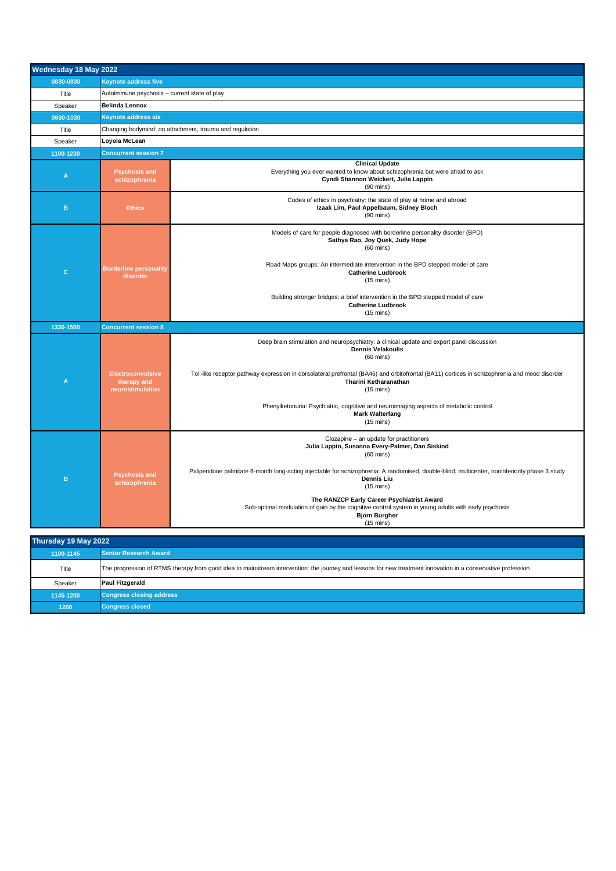| Wednesday 18 May 2022 |                                                             |                                                                                                                                                                                                                                                                                                                                              |
|-----------------------|-------------------------------------------------------------|----------------------------------------------------------------------------------------------------------------------------------------------------------------------------------------------------------------------------------------------------------------------------------------------------------------------------------------------|
| 0830-0930             | <b>Keynote address five</b>                                 |                                                                                                                                                                                                                                                                                                                                              |
| Title                 | Autoimmune psychosis - current state of play                |                                                                                                                                                                                                                                                                                                                                              |
| Speaker               | <b>Belinda Lennox</b>                                       |                                                                                                                                                                                                                                                                                                                                              |
| 0930-1030             | <b>Keynote address six</b>                                  |                                                                                                                                                                                                                                                                                                                                              |
| Title                 |                                                             | Changing bodymind: on attachment, trauma and regulation                                                                                                                                                                                                                                                                                      |
| Speaker               | Loyola McLean                                               |                                                                                                                                                                                                                                                                                                                                              |
| 1100-1230             | <b>Concurrent session 7</b>                                 |                                                                                                                                                                                                                                                                                                                                              |
| $\overline{A}$        | <b>Psychosis and</b><br>schizophrenia                       | <b>Clinical Update</b><br>Everything you ever wanted to know about schizophrenia but were afraid to ask<br>Cyndi Shannon Weickert, Julia Lappin<br>$(90 \text{ mins})$                                                                                                                                                                       |
| $\mathbf{B}$          | <b>Ethics</b>                                               | Codes of ethics in psychiatry: the state of play at home and abroad<br>Izaak Lim, Paul Appelbaum, Sidney Bloch<br>$(90$ mins)                                                                                                                                                                                                                |
| $\mathbf{C}$          | <b>Borderline personality</b><br>disorder                   | Models of care for people diagnosed with borderline personality disorder (BPD)<br>Sathya Rao, Joy Quek, Judy Hope<br>$(60$ mins)<br>Road Maps groups: An intermediate intervention in the BPD stepped model of care<br><b>Catherine Ludbrook</b><br>$(15 \text{ mins})$                                                                      |
|                       |                                                             | Building stronger bridges: a brief intervention in the BPD stepped model of care<br><b>Catherine Ludbrook</b><br>$(15 \text{ mins})$                                                                                                                                                                                                         |
| 1330-1500             | <b>Concurrent session 8</b>                                 |                                                                                                                                                                                                                                                                                                                                              |
| A                     | <b>Electroconvulsive</b><br>therapy and<br>neurostimulation | Deep brain stimulation and neuropsychiatry: a clinical update and expert panel discussion<br><b>Dennis Velakoulis</b><br>$(60 \text{ mins})$<br>Toll-like receptor pathway expression in dorsolateral prefrontal (BA46) and orbitofrontal (BA11) cortices in schizophrenia and mood disorder<br>Tharini Ketharanathan<br>$(15 \text{ mins})$ |
|                       |                                                             | Phenylketonuria: Psychiatric, cognitive and neuroimaging aspects of metabolic control<br><b>Mark Walterfang</b><br>$(15 \text{ mins})$                                                                                                                                                                                                       |
|                       |                                                             | Clozapine - an update for practitioners<br>Julia Lappin, Susanna Every-Palmer, Dan Siskind<br>$(60$ mins)                                                                                                                                                                                                                                    |
| $\mathbf{B}$          | <b>Psychosis and</b><br>schizophrenia                       | Paliperidone palmitate 6-month long-acting injectable for schizophrenia: A randomised, double-blind, multicenter, noninferiority phase 3 study<br>Dennis Liu<br>$(15 \text{ mins})$                                                                                                                                                          |
|                       |                                                             | The RANZCP Early Career Psychiatrist Award<br>Sub-optimal modulation of gain by the cognitive control system in young adults with early psychosis<br><b>Bjorn Burgher</b><br>$(15 \text{ mins})$                                                                                                                                             |
| Thursday 19 May 2022  |                                                             |                                                                                                                                                                                                                                                                                                                                              |
| 1100-1145             | <b>Senior Research Award</b>                                |                                                                                                                                                                                                                                                                                                                                              |

| 1100-1145 | <b>Senior Research Award</b>                                                                                                                                 |  |
|-----------|--------------------------------------------------------------------------------------------------------------------------------------------------------------|--|
| Title     | The progression of RTMS therapy from good idea to mainstream intervention: the journey and lessons for new treatment innovation in a conservative profession |  |
| Speaker   | <b>Paul Fitzgerald</b>                                                                                                                                       |  |
| 1145-1200 | <b>Congress closing address</b>                                                                                                                              |  |
| 1200      | <b>Congress closed</b>                                                                                                                                       |  |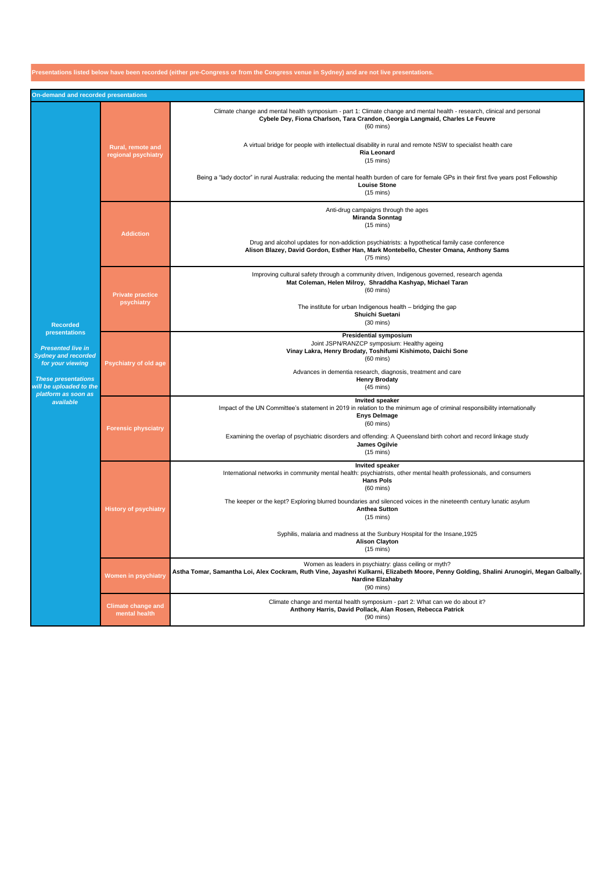| Presentations listed below have been recorded (either pre-Congress or from the Congress venue in Sydney) and are not live presentations. |                                            |                                                                                                                                                                                                                                               |  |  |
|------------------------------------------------------------------------------------------------------------------------------------------|--------------------------------------------|-----------------------------------------------------------------------------------------------------------------------------------------------------------------------------------------------------------------------------------------------|--|--|
| On-demand and recorded presentations                                                                                                     |                                            |                                                                                                                                                                                                                                               |  |  |
| <b>Recorded</b>                                                                                                                          | Rural, remote and<br>regional psychiatry   | Climate change and mental health symposium - part 1: Climate change and mental health - research, clinical and personal<br>Cybele Dey, Fiona Charlson, Tara Crandon, Georgia Langmaid, Charles Le Feuvre<br>$(60 \text{ mins})$               |  |  |
|                                                                                                                                          |                                            | A virtual bridge for people with intellectual disability in rural and remote NSW to specialist health care<br>Ria Leonard<br>$(15 \text{ mins})$                                                                                              |  |  |
|                                                                                                                                          |                                            | Being a "lady doctor" in rural Australia: reducing the mental health burden of care for female GPs in their first five years post Fellowship<br><b>Louise Stone</b><br>$(15 \text{ mins})$                                                    |  |  |
|                                                                                                                                          | <b>Addiction</b>                           | Anti-drug campaigns through the ages<br><b>Miranda Sonntag</b><br>$(15 \text{ mins})$                                                                                                                                                         |  |  |
|                                                                                                                                          |                                            | Drug and alcohol updates for non-addiction psychiatrists: a hypothetical family case conference<br>Alison Blazey, David Gordon, Esther Han, Mark Montebello, Chester Omana, Anthony Sams<br>$(75 \text{ mins})$                               |  |  |
|                                                                                                                                          | <b>Private practice</b><br>psychiatry      | Improving cultural safety through a community driven, Indigenous governed, research agenda<br>Mat Coleman, Helen Milroy, Shraddha Kashyap, Michael Taran<br>$(60 \text{ mins})$                                                               |  |  |
|                                                                                                                                          |                                            | The institute for urban Indigenous health - bridging the gap<br>Shuichi Suetani<br>$(30 \text{ mins})$                                                                                                                                        |  |  |
| presentations<br><b>Presented live in</b><br><b>Sydney and recorded</b><br>for your viewing                                              | <b>Psychiatry of old age</b>               | <b>Presidential symposium</b><br>Joint JSPN/RANZCP symposium: Healthy ageing<br>Vinay Lakra, Henry Brodaty, Toshifumi Kishimoto, Daichi Sone<br>$(60 \text{ mins})$                                                                           |  |  |
| <b>These presentations</b><br>will be uploaded to the<br>platform as soon as                                                             |                                            | Advances in dementia research, diagnosis, treatment and care<br><b>Henry Brodaty</b><br>$(45 \text{ mins})$                                                                                                                                   |  |  |
| available                                                                                                                                | <b>Forensic physciatry</b>                 | <b>Invited speaker</b><br>Impact of the UN Committee's statement in 2019 in relation to the minimum age of criminal responsibility internationally<br><b>Enys Delmage</b><br>$(60 \text{ mins})$                                              |  |  |
|                                                                                                                                          |                                            | Examining the overlap of psychiatric disorders and offending: A Queensland birth cohort and record linkage study<br>James Ogilvie<br>$(15 \text{ mins})$                                                                                      |  |  |
|                                                                                                                                          | <b>History of psychiatry</b>               | <b>Invited speaker</b><br>International networks in community mental health: psychiatrists, other mental health professionals, and consumers<br><b>Hans Pols</b><br>$(60 \text{ mins})$                                                       |  |  |
|                                                                                                                                          |                                            | The keeper or the kept? Exploring blurred boundaries and silenced voices in the nineteenth century lunatic asylum<br><b>Anthea Sutton</b><br>$(15 \text{ mins})$                                                                              |  |  |
|                                                                                                                                          |                                            | Syphilis, malaria and madness at the Sunbury Hospital for the Insane, 1925<br><b>Alison Clayton</b><br>$(15 \text{ mins})$                                                                                                                    |  |  |
|                                                                                                                                          | <b>Women in psychiatry</b>                 | Women as leaders in psychiatry: glass ceiling or myth?<br>Astha Tomar, Samantha Loi, Alex Cockram, Ruth Vine, Jayashri Kulkarni, Elizabeth Moore, Penny Golding, Shalini Arunogiri, Megan Galbally,<br><b>Nardine Elzahaby</b><br>$(90$ mins) |  |  |
|                                                                                                                                          | <b>Climate change and</b><br>mental health | Climate change and mental health symposium - part 2: What can we do about it?<br>Anthony Harris, David Pollack, Alan Rosen, Rebecca Patrick<br>$(90 \text{ mins})$                                                                            |  |  |